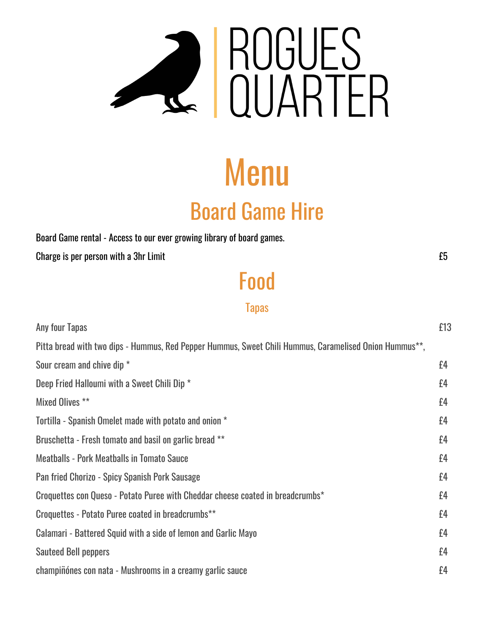

# Menu Board Game Hire

Board Game rental - Access to our ever growing library of board games.

Charge is per person with a 3hr Limit **EXACTE EXACTE 2008** 2014 12:30 THE EXACTE 2014 2015

Food

Tapas

| Any four Tapas                                                                                                      | £13 |
|---------------------------------------------------------------------------------------------------------------------|-----|
| Pitta bread with two dips - Hummus, Red Pepper Hummus, Sweet Chili Hummus, Caramelised Onion Hummus <sup>**</sup> , |     |
| Sour cream and chive dip *                                                                                          | £4  |
| Deep Fried Halloumi with a Sweet Chili Dip *                                                                        | £4  |
| Mixed Olives **                                                                                                     | £4  |
| Tortilla - Spanish Omelet made with potato and onion *                                                              | £4  |
| Bruschetta - Fresh tomato and basil on garlic bread **                                                              | £4  |
| <b>Meatballs - Pork Meatballs in Tomato Sauce</b>                                                                   | £4  |
| Pan fried Chorizo - Spicy Spanish Pork Sausage                                                                      | £4  |
| Croquettes con Queso - Potato Puree with Cheddar cheese coated in breadcrumbs*                                      | £4  |
| Croquettes - Potato Puree coated in breadcrumbs**                                                                   | f4  |
| Calamari - Battered Squid with a side of lemon and Garlic Mayo                                                      | £4  |
| <b>Sauteed Bell peppers</b>                                                                                         | f4  |
| champiñónes con nata - Mushrooms in a creamy garlic sauce                                                           | £4  |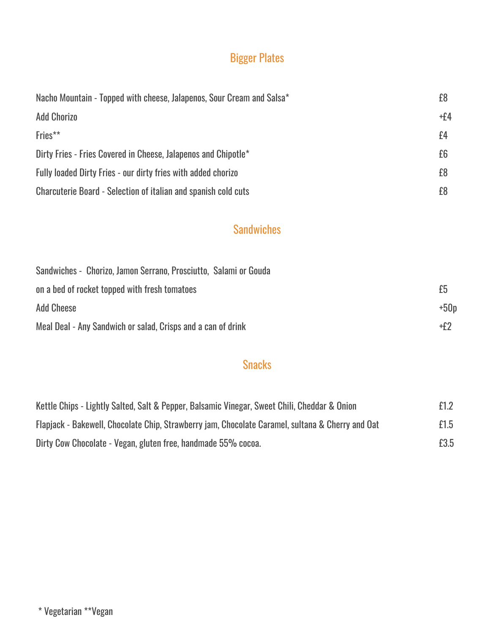# Bigger Plates

| Nacho Mountain - Topped with cheese, Jalapenos, Sour Cream and Salsa* | £8    |
|-----------------------------------------------------------------------|-------|
| <b>Add Chorizo</b>                                                    | $+f4$ |
| Fries**                                                               | £4    |
| Dirty Fries - Fries Covered in Cheese, Jalapenos and Chipotle*        | £6    |
| <b>Fully loaded Dirty Fries - our dirty fries with added chorizo</b>  | £8    |
| <b>Charcuterie Board - Selection of italian and spanish cold cuts</b> | £8    |

#### **Sandwiches**

| Sandwiches - Chorizo, Jamon Serrano, Prosciutto, Salami or Gouda |        |
|------------------------------------------------------------------|--------|
| on a bed of rocket topped with fresh tomatoes                    | £5     |
| <b>Add Cheese</b>                                                | $+50p$ |
| Meal Deal - Any Sandwich or salad, Crisps and a can of drink     | +f2    |

#### **Snacks**

| Kettle Chips - Lightly Salted, Salt & Pepper, Balsamic Vinegar, Sweet Chili, Cheddar & Onion     | £1.2 |
|--------------------------------------------------------------------------------------------------|------|
| Flapjack - Bakewell, Chocolate Chip, Strawberry jam, Chocolate Caramel, sultana & Cherry and Oat | £1.5 |
| Dirty Cow Chocolate - Vegan, gluten free, handmade 55% cocoa.                                    | £3.5 |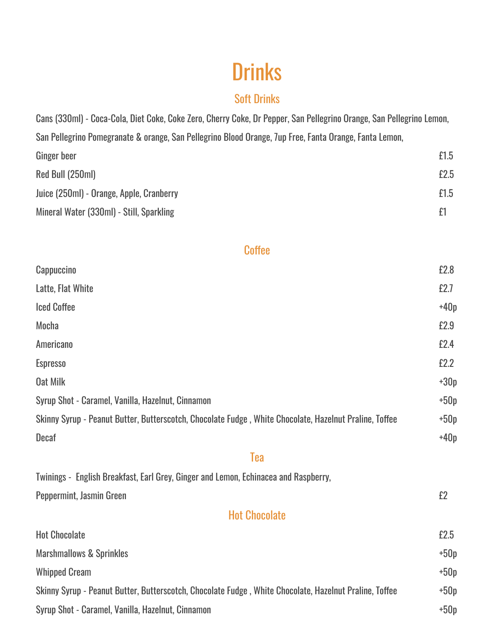# **Drinks**

#### Soft Drinks

Cans (330ml) - Coca-Cola, Diet Coke, Coke Zero, Cherry Coke, Dr Pepper, San Pellegrino Orange, San Pellegrino Lemon, San Pellegrino Pomegranate & orange, San Pellegrino Blood Orange, 7up Free, Fanta Orange, Fanta Lemon, Ginger beer **E1.5** Red Bull (250ml) 62.5 Juice (250ml) - Orange, Apple, Cranberry **E1.5** Mineral Water (330ml) - Still, Sparkling  $\qquad \qquad$   $\qquad \qquad$   $\qquad \qquad$   $\qquad \qquad$   $\qquad \qquad$   $\qquad \qquad$   $\qquad \qquad$   $\qquad \qquad$   $\qquad \qquad$   $\qquad \qquad$   $\qquad \qquad$   $\qquad \qquad$   $\qquad \qquad$   $\qquad \qquad$   $\qquad \qquad$   $\qquad \qquad$   $\qquad \qquad$   $\qquad \qquad$   $\qquad \qquad$   $\qquad \qquad$ 

**Coffee** 

| Cappuccino                                                                                             | £2.8   |
|--------------------------------------------------------------------------------------------------------|--------|
| Latte, Flat White                                                                                      | £2.7   |
| <b>Iced Coffee</b>                                                                                     | $+40p$ |
| Mocha                                                                                                  | £2.9   |
| Americano                                                                                              | £2.4   |
| <b>Espresso</b>                                                                                        | £2.2   |
| <b>Oat Milk</b>                                                                                        | $+30p$ |
| Syrup Shot - Caramel, Vanilla, Hazelnut, Cinnamon                                                      | $+50p$ |
| Skinny Syrup - Peanut Butter, Butterscotch, Chocolate Fudge, White Chocolate, Hazelnut Praline, Toffee | $+50p$ |
| <b>Decaf</b>                                                                                           | $+40p$ |
| <b>Tea</b>                                                                                             |        |
| Twinings - English Breakfast, Earl Grey, Ginger and Lemon, Echinacea and Raspberry,                    |        |
| Peppermint, Jasmin Green                                                                               | £2     |
| <b>Hot Chocolate</b>                                                                                   |        |
| <b>Hot Chocolate</b>                                                                                   | £2.5   |
| <b>Marshmallows &amp; Sprinkles</b>                                                                    | $+50p$ |
| <b>Whipped Cream</b>                                                                                   | $+50p$ |
| Skinny Syrup - Peanut Butter, Butterscotch, Chocolate Fudge, White Chocolate, Hazelnut Praline, Toffee | $+50p$ |
| Syrup Shot - Caramel, Vanilla, Hazelnut, Cinnamon                                                      | $+50p$ |